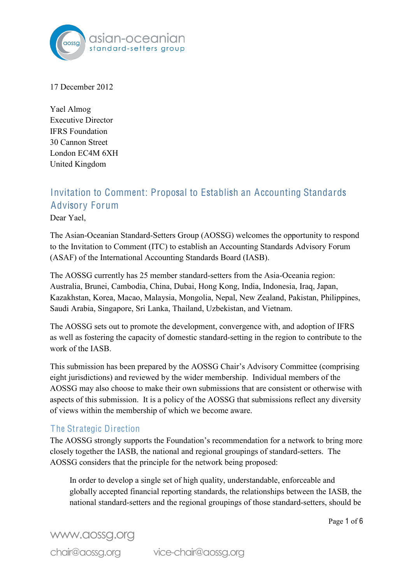

17 December 2012

Yael Almog Executive Director IFRS Foundation 30 Cannon Street London EC4M 6XH United Kingdom

# Invitation to Comment: Proposal to Establish an Accounting Standards Advisory Forum

Dear Yael,

The Asian-Oceanian Standard-Setters Group (AOSSG) welcomes the opportunity to respond to the Invitation to Comment (ITC) to establish an Accounting Standards Advisory Forum (ASAF) of the International Accounting Standards Board (IASB).

The AOSSG currently has 25 member standard-setters from the Asia-Oceania region: Australia, Brunei, Cambodia, China, Dubai, Hong Kong, India, Indonesia, Iraq, Japan, Kazakhstan, Korea, Macao, Malaysia, Mongolia, Nepal, New Zealand, Pakistan, Philippines, Saudi Arabia, Singapore, Sri Lanka, Thailand, Uzbekistan, and Vietnam.

The AOSSG sets out to promote the development, convergence with, and adoption of IFRS as well as fostering the capacity of domestic standard-setting in the region to contribute to the work of the IASB.

This submission has been prepared by the AOSSG Chair's Advisory Committee (comprising eight jurisdictions) and reviewed by the wider membership. Individual members of the AOSSG may also choose to make their own submissions that are consistent or otherwise with aspects of this submission. It is a policy of the AOSSG that submissions reflect any diversity of views within the membership of which we become aware.

### The Strategic Direction

The AOSSG strongly supports the Foundation's recommendation for a network to bring more closely together the IASB, the national and regional groupings of standard-setters. The AOSSG considers that the principle for the network being proposed:

In order to develop a single set of high quality, understandable, enforceable and globally accepted financial reporting standards, the relationships between the IASB, the national standard-setters and the regional groupings of those standard-setters, should be

Page 1 of 6

www.aossg.org chair@aossg.org vicechair@aossg.org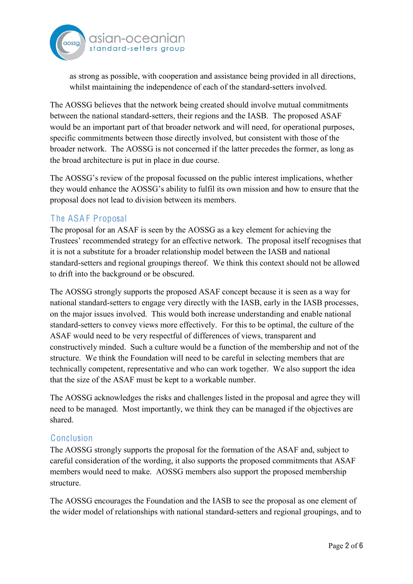

as strong as possible, with cooperation and assistance being provided in all directions, whilst maintaining the independence of each of the standard-setters involved.

The AOSSG believes that the network being created should involve mutual commitments between the national standard-setters, their regions and the IASB. The proposed ASAF would be an important part of that broader network and will need, for operational purposes, specific commitments between those directly involved, but consistent with those of the broader network. The AOSSG is not concerned if the latter precedes the former, as long as the broad architecture is put in place in due course.

The AOSSG's review of the proposal focussed on the public interest implications, whether they would enhance the AOSSG's ability to fulfil its own mission and how to ensure that the proposal does not lead to division between its members.

## The ASAF Proposal

The proposal for an ASAF is seen by the AOSSG as a key element for achieving the Trustees' recommended strategy for an effective network. The proposal itself recognises that it is not a substitute for a broader relationship model between the IASB and national standard-setters and regional groupings thereof. We think this context should not be allowed to drift into the background or be obscured.

The AOSSG strongly supports the proposed ASAF concept because it is seen as a way for national standard-setters to engage very directly with the IASB, early in the IASB processes, on the major issues involved. This would both increase understanding and enable national standard-setters to convey views more effectively. For this to be optimal, the culture of the ASAF would need to be very respectful of differences of views, transparent and constructively minded. Such a culture would be a function of the membership and not of the structure. We think the Foundation will need to be careful in selecting members that are technically competent, representative and who can work together. We also support the idea that the size of the ASAF must be kept to a workable number.

The AOSSG acknowledges the risks and challenges listed in the proposal and agree they will need to be managed. Most importantly, we think they can be managed if the objectives are shared.

### Conclusion

The AOSSG strongly supports the proposal for the formation of the ASAF and, subject to careful consideration of the wording, it also supports the proposed commitments that ASAF members would need to make. AOSSG members also support the proposed membership structure.

The AOSSG encourages the Foundation and the IASB to see the proposal as one element of the wider model of relationships with national standard-setters and regional groupings, and to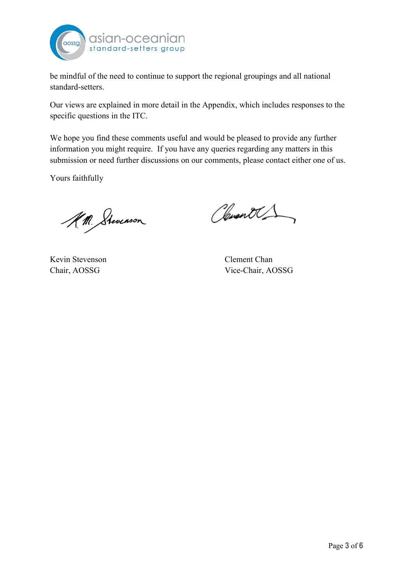

be mindful of the need to continue to support the regional groupings and all national standard-setters.

Our views are explained in more detail in the Appendix, which includes responses to the specific questions in the ITC.

We hope you find these comments useful and would be pleased to provide any further information you might require. If you have any queries regarding any matters in this submission or need further discussions on our comments, please contact either one of us.

Yours faithfully

A.M. Stevenson

Kevin Stevenson Clement Chan

Clevent C

Chair, AOSSG Vice-Chair, AOSSG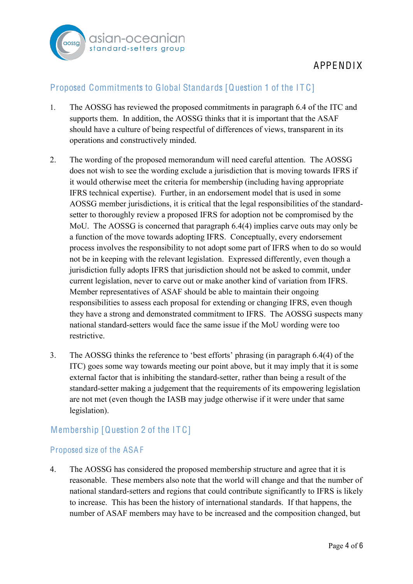

# Proposed Commitments to Global Standards [Question 1 of the ITC]

- 1. The AOSSG has reviewed the proposed commitments in paragraph 6.4 of the ITC and supports them. In addition, the AOSSG thinks that it is important that the ASAF should have a culture of being respectful of differences of views, transparent in its operations and constructively minded.
- 2. The wording of the proposed memorandum will need careful attention. The AOSSG does not wish to see the wording exclude a jurisdiction that is moving towards IFRS if it would otherwise meet the criteria for membership (including having appropriate IFRS technical expertise). Further, in an endorsement model that is used in some AOSSG member jurisdictions, it is critical that the legal responsibilities of the standardsetter to thoroughly review a proposed IFRS for adoption not be compromised by the MoU. The AOSSG is concerned that paragraph 6.4(4) implies carve outs may only be a function of the move towards adopting IFRS. Conceptually, every endorsement process involves the responsibility to not adopt some part of IFRS when to do so would not be in keeping with the relevant legislation. Expressed differently, even though a jurisdiction fully adopts IFRS that jurisdiction should not be asked to commit, under current legislation, never to carve out or make another kind of variation from IFRS. Member representatives of ASAF should be able to maintain their ongoing responsibilities to assess each proposal for extending or changing IFRS, even though they have a strong and demonstrated commitment to IFRS. The AOSSG suspects many national standard-setters would face the same issue if the MoU wording were too restrictive.
- 3. The AOSSG thinks the reference to 'best efforts' phrasing (in paragraph 6.4(4) of the ITC) goes some way towards meeting our point above, but it may imply that it is some external factor that is inhibiting the standard-setter, rather than being a result of the standard-setter making a judgement that the requirements of its empowering legislation are not met (even though the IASB may judge otherwise if it were under that same legislation).

## Membership [Question 2 of the ITC]

#### Proposed size of the ASA F

4. The AOSSG has considered the proposed membership structure and agree that it is reasonable. These members also note that the world will change and that the number of national standard-setters and regions that could contribute significantly to IFRS is likely to increase. This has been the history of international standards. If that happens, the number of ASAF members may have to be increased and the composition changed, but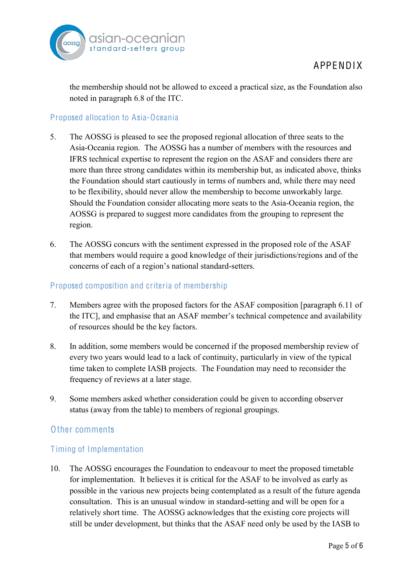

# **APPENDIX**

the membership should not be allowed to exceed a practical size, as the Foundation also noted in paragraph 6.8 of the ITC.

### Proposed allocation to Asia-Oceania

- 5. The AOSSG is pleased to see the proposed regional allocation of three seats to the Asia-Oceania region. The AOSSG has a number of members with the resources and IFRS technical expertise to represent the region on the ASAF and considers there are more than three strong candidates within its membership but, as indicated above, thinks the Foundation should start cautiously in terms of numbers and, while there may need to be flexibility, should never allow the membership to become unworkably large. Should the Foundation consider allocating more seats to the Asia-Oceania region, the AOSSG is prepared to suggest more candidates from the grouping to represent the region.
- 6. The AOSSG concurs with the sentiment expressed in the proposed role of the ASAF that members would require a good knowledge of their jurisdictions/regions and of the concerns of each of a region's national standard-setters.

### Proposed composition and criteria of membership

- 7. Members agree with the proposed factors for the ASAF composition [paragraph 6.11 of the ITC], and emphasise that an ASAF member's technical competence and availability of resources should be the key factors.
- 8. In addition, some members would be concerned if the proposed membership review of every two years would lead to a lack of continuity, particularly in view of the typical time taken to complete IASB projects. The Foundation may need to reconsider the frequency of reviews at a later stage.
- 9. Some members asked whether consideration could be given to according observer status (away from the table) to members of regional groupings.

### Other comments

#### Timing of Implementation

10. The AOSSG encourages the Foundation to endeavour to meet the proposed timetable for implementation. It believes it is critical for the ASAF to be involved as early as possible in the various new projects being contemplated as a result of the future agenda consultation. This is an unusual window in standard-setting and will be open for a relatively short time. The AOSSG acknowledges that the existing core projects will still be under development, but thinks that the ASAF need only be used by the IASB to